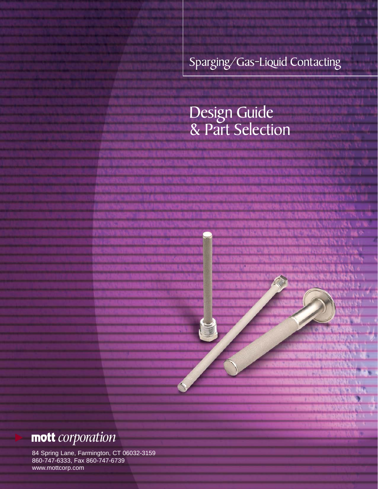Sparging/Gas-Liquid Contacting

# Design Guide & Part Selection

# **mott** *corporation*

84 Spring Lane, Farmington, CT 06032-3159 860-747-6333, Fax 860-747-6739 www.mottcorp.com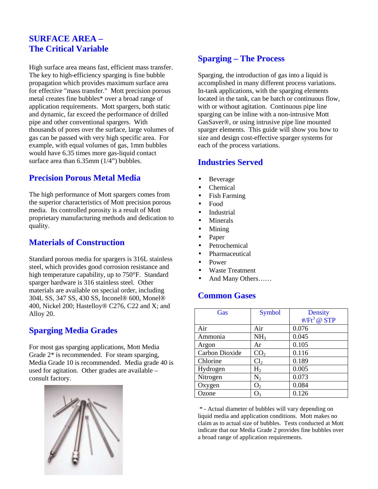# **SURFACE AREA – The Critical Variable**

High surface area means fast, efficient mass transfer. The key to high-efficiency sparging is fine bubble propagation which provides maximum surface area for effective "mass transfer." Mott precision porous metal creates fine bubbles\* over a broad range of application requirements. Mott spargers, both static and dynamic, far exceed the performance of drilled pipe and other conventional spargers. With thousands of pores over the surface, large volumes of gas can be passed with very high specific area. For example, with equal volumes of gas, 1mm bubbles would have 6.35 times more gas-liquid contact surface area than 6.35mm (1/4") bubbles.

# **Precision Porous Metal Media**

The high performance of Mott spargers comes from the superior characteristics of Mott precision porous media. Its controlled porosity is a result of Mott proprietary manufacturing methods and dedication to quality.

## **Materials of Construction**

Standard porous media for spargers is 316L stainless steel, which provides good corrosion resistance and high temperature capability, up to 750°F. Standard sparger hardware is 316 stainless steel. Other materials are available on special order, including 304L SS, 347 SS, 430 SS, Inconel® 600, Monel® 400, Nickel 200; Hastelloy® C276, C22 and X; and Alloy 20.

# **Sparging Media Grades**

For most gas sparging applications, Mott Media Grade 2\* is recommended. For steam sparging, Media Grade 10 is recommended. Media grade 40 is used for agitation. Other grades are available – consult factory.



# **Sparging – The Process**

Sparging, the introduction of gas into a liquid is accomplished in many different process variations. In-tank applications, with the sparging elements located in the tank, can be batch or continuous flow, with or without agitation. Continuous pipe line sparging can be inline with a non-intrusive Mott GasSaver®, or using intrusive pipe line mounted sparger elements. This guide will show you how to size and design cost-effective sparger systems for each of the process variations.

# **Industries Served**

- **Beverage**
- Chemical
- Fish Farming
- Food
- Industrial
- Minerals
- Mining
- Paper
- Petrochemical
- Pharmaceutical
- Power
- Waste Treatment
- And Many Others……

## **Common Gases**

| Gas            | <b>Symbol</b>   | <b>Density</b>          |
|----------------|-----------------|-------------------------|
|                |                 | $#/\mathrm{Ft}^3$ @ STP |
| Air            | Air             | 0.076                   |
| Ammonia        | NH <sub>3</sub> | 0.045                   |
| Argon          | Ar              | 0.105                   |
| Carbon Dioxide | CO <sub>2</sub> | 0.116                   |
| Chlorine       | Cl <sub>2</sub> | 0.189                   |
| Hydrogen       | H <sub>2</sub>  | 0.005                   |
| Nitrogen       | $\rm N_2$       | 0.073                   |
| Oxygen         | O <sub>2</sub>  | 0.084                   |
| Ozone          | O <sub>3</sub>  | 0.126                   |

 \* - Actual diameter of bubbles will vary depending on liquid media and application conditions. Mott makes no claim as to actual size of bubbles. Tests conducted at Mott indicate that our Media Grade 2 provides fine bubbles over a broad range of application requirements.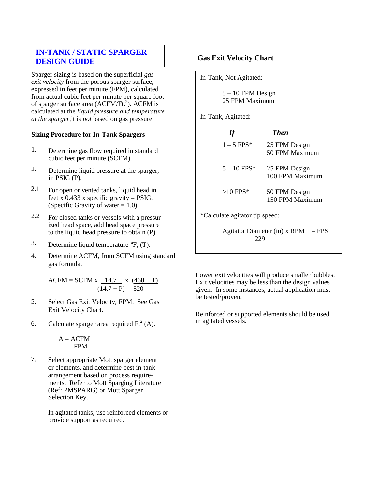## **DESIGN GUIDE IN-TANK / STATIC SPARGER**

Sparger sizing is based on the superficial *gas exit velocity* from the porous sparger surface, expressed in feet per minute (FPM), calculated from actual cubic feet per minute per square foot of sparger surface area (ACFM/Ft.<sup>2</sup>). ACFM is calculated at the *liquid pressure and temperature at the sparger,*it is *not* based on gas pressure.

#### **Sizing Procedure for In-Tank Spargers**

- 1. Determine gas flow required in standard cubic feet per minute (SCFM).
- 2. Determine liquid pressure at the sparger, in PSIG (P).
- 2.1 For open or vented tanks, liquid head in feet x 0.433 x specific gravity = PSIG. (Specific Gravity of water  $= 1.0$ )
- 2.2 For closed tanks or vessels with a pressurized head space, add head space pressure to the liquid head pressure to obtain (P)
- 3. Determine liquid temperature °F, (T).
- 4. Determine ACFM, from SCFM using standard gas formula.

 $ACFM = SCFM x \; 14.7 \; x \; (460 + T)$  $(14.7 + P)$  520

- 5. Select Gas Exit Velocity, FPM. See Gas Exit Velocity Chart.
- 6. Calculate sparger area required  $Ft^2(A)$ .

 $A = \underline{ACFM}$ FPM

7. Select appropriate Mott sparger element or elements, and determine best in-tank arrangement based on process requirements. Refer to Mott Sparging Literature (Ref: PMSPARG) or Mott Sparger Selection Key.

> In agitated tanks, use reinforced elements or provide support as required.

#### **Gas Exit Velocity Chart**

In-Tank, Not Agitated:

5 – 10 FPM Design 25 FPM Maximum

In-Tank, Agitated:

| If                             | <b>Then</b>                      |
|--------------------------------|----------------------------------|
| $1-5$ FPS*                     | 25 FPM Design<br>50 FPM Maximum  |
| $5 - 10$ FPS*                  | 25 FPM Design<br>100 FPM Maximum |
| $>10$ FPS*                     | 50 FPM Design<br>150 FPM Maximum |
| *Calculate agitator tip speed: |                                  |

Agitator Diameter (in)  $x$  RPM = FPS 229

Lower exit velocities will produce smaller bubbles. Exit velocities may be less than the design values given. In some instances, actual application must be tested/proven.

Reinforced or supported elements should be used in agitated vessels.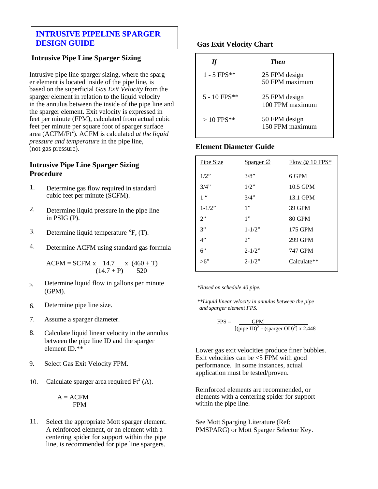## **INTRUSIVE PIPELINE SPARGER DESIGN GUIDE**

## **Intrusive Pipe Line Sparger Sizing**

Intrusive pipe line sparger sizing, where the sparger element is located inside of the pipe line, is based on the superficial *Gas Exit Velocity* from the sparger element in relation to the liquid velocity in the annulus between the inside of the pipe line and the sparger element. Exit velocity is expressed in feet per minute (FPM), calculated from actual cubic feet per minute per square foot of sparger surface area (ACFM/Ft<sup>2</sup>). ACFM is calculated *at the liquid pressure and temperature* in the pipe line, (not gas pressure).

### **Intrusive Pipe Line Sparger Sizing Procedure**

- 1. Determine gas flow required in standard cubic feet per minute (SCFM).
- 2. Determine liquid pressure in the pipe line in PSIG (P).
- 3. Determine liquid temperature °F, (T).
- 4. Determine ACFM using standard gas formula

 $ACFM = SCFM x_14.7 x_4 (460 + T)$  $(14.7 + P)$  520

- 5. Determine liquid flow in gallons per minute (GPM).
- 6. Determine pipe line size.
- 7. Assume a sparger diameter.
- 8. Calculate liquid linear velocity in the annulus between the pipe line ID and the sparger element ID.\*\*
- 9. Select Gas Exit Velocity FPM.
- 10. Calculate sparger area required  $Ft^2(A)$ .

$$
A = \frac{ACFM}{FPM}
$$

11. Select the appropriate Mott sparger element. A reinforced element, or an element with a centering spider for support within the pipe line, is recommended for pipe line spargers.

#### **Gas Exit Velocity Chart**

| If             | <b>Then</b>                      |
|----------------|----------------------------------|
| $1 - 5$ FPS**  | 25 FPM design<br>50 FPM maximum  |
| $5 - 10$ FPS** | 25 FPM design<br>100 FPM maximum |
| $> 10$ FPS**   | 50 FPM design<br>150 FPM maximum |

### **Element Diameter Guide**

| <b>Pipe Size</b> | Sparger Ø   | Flow $@$ 10 FPS* |
|------------------|-------------|------------------|
| $1/2$ "          | 3/8"        | 6 GPM            |
| 3/4"             | $1/2$ "     | 10.5 GPM         |
| 1 <sup>66</sup>  | 3/4"        | 13.1 GPM         |
| $1 - 1/2$ "      | 1"          | 39 GPM           |
| 2"               | 1"          | 80 GPM           |
| 3"               | $1 - 1/2$ " | 175 GPM          |
| 4"               | 2"          | 299 GPM          |
| 6"               | $2 - 1/2$ " | <b>747 GPM</b>   |
| $>6$ "           | $2 - 1/2$ " | Calculate**      |

*\*Based on schedule 40 pipe.*

*\*\*Liquid linear velocity in annulus between the pipe and sparger element FPS.*

$$
FPS = \frac{GPM}{[(pipe ID)^2 - (sparger OD)^2] \times 2.448}
$$

Lower gas exit velocities produce finer bubbles. Exit velocities can be <5 FPM with good performance. In some instances, actual application must be tested/proven.

Reinforced elements are recommended, or elements with a centering spider for support within the pipe line.

See Mott Sparging Literature (Ref: PMSPARG) or Mott Sparger Selector Key.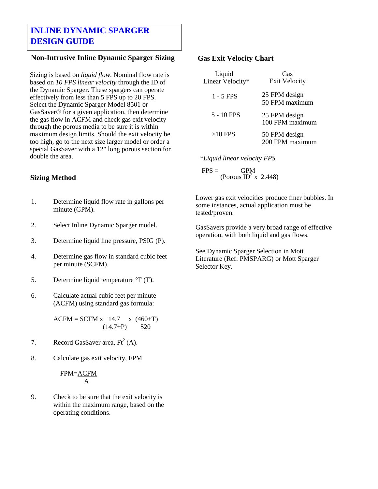# **INLINE DYNAMIC SPARGER DESIGN GUIDE**

## **Non-Intrusive Inline Dynamic Sparger Sizing**

Sizing is based on *liquid flow*. Nominal flow rate is based on *10 FPS linear velocity* through the ID of the Dynamic Sparger. These spargers can operate effectively from less than 5 FPS up to 20 FPS. Select the Dynamic Sparger Model 8501 or GasSaver® for a given application, then determine the gas flow in ACFM and check gas exit velocity through the porous media to be sure it is within maximum design limits. Should the exit velocity be too high, go to the next size larger model or order a special GasSaver with a 12" long porous section for double the area.

#### **Sizing Method**

- 1. Determine liquid flow rate in gallons per minute (GPM).
- 2. Select Inline Dynamic Sparger model.
- 3. Determine liquid line pressure, PSIG (P).
- 4. Determine gas flow in standard cubic feet per minute (SCFM).
- 5. Determine liquid temperature °F (T).
- 6. Calculate actual cubic feet per minute (ACFM) using standard gas formula:

 $ACFM = SCFM x 14.7 x (460+T)$  $(14.7+P)$  520

- 7. Record GasSaver area,  $Ft^2(A)$ .
- 8. Calculate gas exit velocity, FPM

#### FPM=ACFM A

9. Check to be sure that the exit velocity is within the maximum range, based on the operating conditions.

#### **Gas Exit Velocity Chart**

| Liquid<br>Linear Velocity* | Gas<br><b>Exit Velocity</b>      |
|----------------------------|----------------------------------|
| $1 - 5$ FPS                | 25 FPM design<br>50 FPM maximum  |
| 5 - 10 FPS                 | 25 FPM design<br>100 FPM maximum |
| $>10$ FPS                  | 50 FPM design<br>200 FPM maximum |

*\*Liquid linear velocity FPS.*

 $FPS = GPM$  $($ Porous  $\overrightarrow{ID^2}$  x 2.448)

Lower gas exit velocities produce finer bubbles. In some instances, actual application must be tested/proven.

GasSavers provide a very broad range of effective operation, with both liquid and gas flows.

See Dynamic Sparger Selection in Mott Literature (Ref: PMSPARG) or Mott Sparger Selector Key.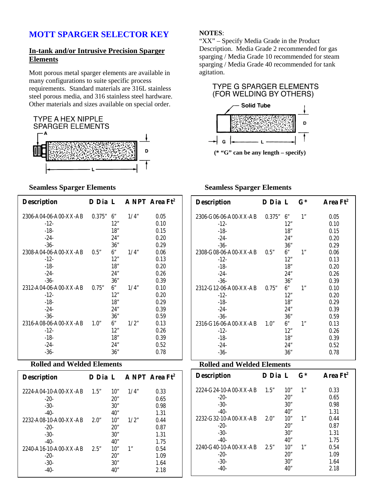## **In-tank and/or Intrusive Precision Sparger Elements**

Mott porous metal sparger elements are available in many configurations to suite specific process requirements. Standard materials are 316L stainless steel porous media, and 316 stainless steel hardware. Other materials and sizes available on special order.



#### **Seamless Sparger Elements**

| <b>Description</b>    | D Dia L |     |      | A NPT Area Ft <sup>2</sup> |
|-----------------------|---------|-----|------|----------------------------|
| 2306-A04-06-A00-XX-AB | 0.375"  | 6"  | 1/4" | 0.05                       |
| $-12-$                |         | 12" |      | 0.10                       |
| $-18-$                |         | 18" |      | 0.15                       |
| $-24-$                |         | 24" |      | 0.20                       |
| $-36-$                |         | 36" |      | 0.29                       |
| 2308-A04-06-A00-XX-AB | 0.5"    | 6"  | 1/4" | 0.06                       |
| $-12-$                |         | 12" |      | 0.13                       |
| $-18-$                |         | 18" |      | 0.20                       |
| $-24-$                |         | 24" |      | 0.26                       |
| $-36-$                |         | 36" |      | 0.39                       |
| 2312-A04-06-A00-XX-AB | 0.75"   | 6"  | 1/4" | 0.10                       |
| $-12-$                |         | 12" |      | 0.20                       |
| $-18-$                |         | 18" |      | 0.29                       |
| $-24-$                |         | 24" |      | 0.39                       |
| $-36-$                |         | 36" |      | 0.59                       |
| 2316-A08-06-A00-XX-AB | 1.0"    | 6"  | 1/2" | 0.13                       |
| $-12-$                |         | 12" |      | 0.26                       |
| $-18-$                |         | 18" |      | 0.39                       |
| $-24-$                |         | 24" |      | 0.52                       |
| $-36-$                |         | 36" |      | 0.78                       |

## **Rolled and Welded Elements**

| <b>Description</b>    |      |     |      | D Dia L ANPT Area Ft <sup>2</sup> |
|-----------------------|------|-----|------|-----------------------------------|
| 2224-A04-10-A00-XX-AB | 1.5" | 10" | 1/4" | 0.33                              |
| $-20-$                |      | 20" |      | 0.65                              |
| $-30-$                |      | 30" |      | 0.98                              |
| $-40-$                |      | 40" |      | 1.31                              |
| 2232-A08-10-A00-XX-AB | 2.0" | 10" | 1/2" | 0.44                              |
| $-20-$                |      | 20" |      | 0.87                              |
| $-30-$                |      | 30" |      | 1.31                              |
| $-40-$                |      | 40" |      | 1.75                              |
| 2240-A16-10-A00-XX-AB | 2.5" | 10" | 1"   | 0.54                              |
| $-20-$                |      | 20" |      | 1.09                              |
| $-30-$                |      | 30" |      | 1.64                              |
| $-40-$                |      | 40" |      | 2.18                              |

#### **NOTES**:

"XX" – Specify Media Grade in the Product Description. Media Grade 2 recommended for gas sparging / Media Grade 10 recommended for steam sparging / Media Grade 40 recommended for tank agitation.





#### **Seamless Sparger Elements**

| <b>Description</b>    | D Dia L |     | $\mathbf{G}^*$ | Area Ft <sup>2</sup> |
|-----------------------|---------|-----|----------------|----------------------|
| 2306-G06-06-A00-XX-AB | 0.375"  | 6"  | 1"             | 0.05                 |
| $-12-$                |         | 12" |                | 0.10                 |
| $-18-$                |         | 18" |                | 0.15                 |
| $-24-$                |         | 24" |                | 0.20                 |
| $-36-$                |         | 36" |                | 0.29                 |
| 2308-G08-06-A00-XX-AB | 0.5"    | 6"  | 1"             | 0.06                 |
| $-12-$                |         | 12" |                | 0.13                 |
| $-18-$                |         | 18" |                | 0.20                 |
| $-24-$                |         | 24" |                | 0.26                 |
| $-36-$                |         | 36" |                | 0.39                 |
| 2312-G12-06-A00-XX-AB | 0.75"   | 6"  | 1"             | 0.10                 |
| $-12-$                |         | 12" |                | 0.20                 |
| $-18-$                |         | 18" |                | 0.29                 |
| $-24-$                |         | 24" |                | 0.39                 |
| $-36-$                |         | 36" |                | 0.59                 |
| 2316-G16-06-A00-XX-AB | 1.0"    | 6"  | 1"             | 0.13                 |
| $-12-$                |         | 12" |                | 0.26                 |
| $-18-$                |         | 18" |                | 0.39                 |
| $-24-$                |         | 24" |                | 0.52                 |
| $-36-$                |         | 36" |                | 0.78                 |

## **Rolled and Welded Elements**

| <b>Description</b>    | D Dia L |     | $G^*$ | Area Ft <sup>2</sup> |
|-----------------------|---------|-----|-------|----------------------|
| 2224-G24-10-A00-XX-AB | 1.5"    | 10" | 1"    | 0.33                 |
| $-20-$                |         | 20" |       | 0.65                 |
| $-30-$                |         | 30" |       | 0.98                 |
| $-40-$                |         | 40" |       | 1.31                 |
| 2232-G32-10-A00-XX-AB | 2.0"    | 10" | 1"    | 0.44                 |
| $-20-$                |         | 20" |       | 0.87                 |
| $-30-$                |         | 30" |       | 1.31                 |
| $-40-$                |         | 40" |       | 1.75                 |
| 2240-G40-10-A00-XX-AB | 2.5"    | 10" | 1"    | 0.54                 |
| $-20-$                |         | 20" |       | 1.09                 |
| $-30-$                |         | 30" |       | 1.64                 |
| $-40-$                |         | 40" |       | 2.18                 |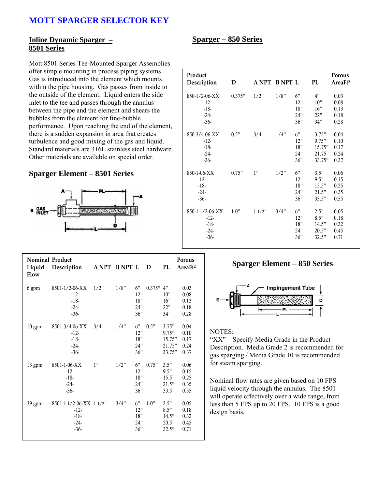#### **Inline Dynamic Sparger – 8501 Series**

Mott 8501 Series Tee-Mounted Sparger Assemblies offer simple mounting in process piping systems. Gas is introduced into the element which mounts within the pipe housing. Gas passes from inside to the outside of the element. Liquid enters the side inlet to the tee and passes through the annulus between the pipe and the element and shears the bubbles from the element for fine-bubble performance. Upon reaching the end of the element, there is a sudden expansion in area that creates turbulence and good mixing of the gas and liquid. Standard materials are 316L stainless steel hardware. Other materials are available on special order.

#### **Sparger Element – 8501 Series**



| <b>Nominal Product</b><br>Liquid<br><b>Flow</b> | Description                                                     | ANPT BNPT L |      |                                | D      | PL                                           | <b>Porous</b><br>AreaF <sub>t<sup>2</sup></sub> |
|-------------------------------------------------|-----------------------------------------------------------------|-------------|------|--------------------------------|--------|----------------------------------------------|-------------------------------------------------|
| 6 gpm                                           | 8501-1/2-06-XX<br>$-12-$<br>$-18-$<br>$-24-$<br>$-36-$          | 1/2"        | 1/8" | 6"<br>12"<br>18"<br>24"<br>36" | 0.375" | 4"<br>10"<br>16"<br>22"<br>34"               | 0.03<br>0.08<br>0.13<br>0.18<br>0.28            |
| $10 \text{ gpm}$                                | 8501-3/4-06-XX<br>$-12-$<br>$-18-$<br>$-24-$<br>$-36-$          | 3/4"        | 1/4" | 6"<br>12"<br>18"<br>24"<br>36" | 0.5"   | 3.75"<br>9.75"<br>15.75"<br>21.75"<br>33.75" | 0.04<br>0.10<br>0.17<br>0.24<br>0.37            |
| 13 gpm                                          | 8501-1-06-XX<br>$-12-$<br>$-18-$<br>$-24-$<br>$-36-$            | 1"          | 1/2" | 6"<br>12"<br>18"<br>24"<br>36" | 0.75"  | 3.5"<br>9.5"<br>15.5"<br>21.5"<br>33.5"      | 0.06<br>0.15<br>0.25<br>0.35<br>0.55            |
| 39 gpm                                          | 8501-1 1/2-06-XX 1 1/2"<br>$-12-$<br>$-18-$<br>$-24-$<br>$-36-$ |             | 3/4" | 6"<br>12"<br>18"<br>24"<br>36" | 1.0"   | 2.5"<br>8.5"<br>14.5"<br>20.5"<br>32.5"      | 0.05<br>0.18<br>0.32<br>0.45<br>0.71            |

#### **Sparger – 850 Series**

| Product<br>Description                                  | D      |       | A NPT B NPT L |                                | PL                                           | Porous<br>AreaFt <sup>2</sup>        |
|---------------------------------------------------------|--------|-------|---------------|--------------------------------|----------------------------------------------|--------------------------------------|
| 850-1/2-06-XX<br>$-12-$<br>$-18-$<br>$-24-$<br>$-36-$   | 0.375" | 1/2"  | 1/8"          | 6"<br>12"<br>18"<br>24"<br>36" | 4"<br>10"<br>16"<br>22"<br>34"               | 0.03<br>0.08<br>0.13<br>0.18<br>0.28 |
| 850-3/4-06-XX<br>$-12-$<br>$-18-$<br>$-24-$<br>$-36-$   | 0.5"   | 3/4"  | 1/4"          | 6"<br>12"<br>18"<br>24"<br>36" | 3.75"<br>9.75"<br>15.75"<br>21.75"<br>33.75" | 0.04<br>0.10<br>0.17<br>0.24<br>0.37 |
| 850-1-06-XX<br>$-12-$<br>$-18-$<br>$-24-$<br>$-36-$     | 0.75"  | 1"    | 1/2"          | 6"<br>12"<br>18"<br>24"<br>36" | 3.5"<br>9.5"<br>15.5"<br>21.5"<br>33.5"      | 0.06<br>0.15<br>0.25<br>0.35<br>0.55 |
| 850-1 1/2-06-XX<br>$-12-$<br>$-18-$<br>$-24-$<br>$-36-$ | 1.0"   | 11/2" | 3/4"          | 6"<br>12"<br>18"<br>24"<br>36" | 2.5"<br>8.5"<br>14.5"<br>20.5"<br>32.5"      | 0.05<br>0.18<br>0.32<br>0.45<br>0.71 |

## **Sparger Element – 850 Series**



#### NOTES:

"XX" – Specify Media Grade in the Product Description. Media Grade 2 is recommended for gas sparging / Media Grade 10 is recommended for steam sparging.

Nominal flow rates are given based on 10 FPS liquid velocity through the annulus. The 8501 will operate effectively over a wide range, from less than 5 FPS up to 20 FPS. 10 FPS is a good design basis.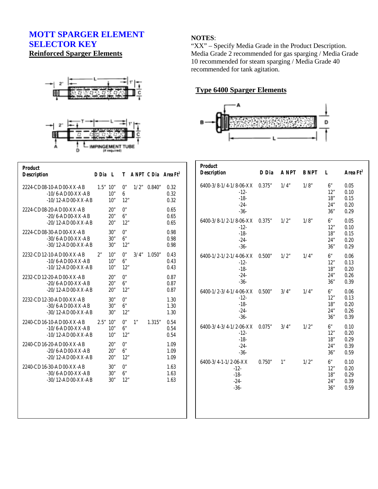## **MOTT SPARGER ELEMENT SELECTOR KEY Reinforced Sparger Elements**





| <b>Product</b><br><b>Description</b>                                   | D Dia L |                   |                    |      |        | T ANPT C Dia Area Ft <sup>2</sup> |
|------------------------------------------------------------------------|---------|-------------------|--------------------|------|--------|-----------------------------------|
| 2224-CD08-10-AD00-XX-AB<br>$-10/6$ -AD00-XX-AB<br>$-10/12$ -AD00-XX-AB | 1.5"10" | 10"<br>10"        | 0"<br>6<br>12"     | 1/2" | 0.840" | 0.32<br>0.32<br>0.32              |
| 2224-CD08-20-AD00-XX-AB<br>$-20/6$ -AD00-XX-AB<br>$-20/12$ -AD00-XX-AB |         | 20"<br>20"<br>20" | 0"<br>6"<br>12"    |      |        | 0.65<br>0.65<br>0.65              |
| 2224-CD08-30-AD00-XX-AB<br>$-30/6$ -AD00-XX-AB<br>$-30/12$ -AD00-XX-AB |         | 30"<br>30"<br>30" | 0"<br>6"<br>12"    |      |        | 0.98<br>0.98<br>0.98              |
| 2232-CD12-10-AD00-XX-AB<br>$-10/6$ -AD00-XX-AB<br>$-10/12$ -AD00-XX-AB | 2"      | 10"<br>10"<br>10" | 0"<br>6"<br>12"    | 3/4" | 1.050" | 0.43<br>0.43<br>0.43              |
| 2232-CD12-20-AD00-XX-AB<br>$-20/6$ -AD00-XX-AB<br>$-20/12$ -AD00-XX-AB |         | 20"<br>20"<br>20" | 0"<br>6"<br>12"    |      |        | 0.87<br>0.87<br>0.87              |
| 2232-CD12-30-AD00-XX-AB<br>$-30/6$ -AD00-XX-AB<br>$-30/12$ -AD00-XX-AB |         | 30"<br>30"<br>30" | $0$ "<br>6"<br>12" |      |        | 1.30<br>1.30<br>1.30              |
| 2240-CD16-10-AD00-XX-AB<br>$-10/6$ -AD00-XX-AB<br>$-10/12$ -AD00-XX-AB | 2.5"10" | 10"<br>10"        | 0"<br>6"<br>12"    | 1"   | 1.315" | 0.54<br>0.54<br>0.54              |
| 2240-CD16-20-AD00-XX-AB<br>$-20/6$ -AD00-XX-AB<br>$-20/12$ -AD00-XX-AB |         | 20"<br>20"<br>20" | 0"<br>6"<br>12"    |      |        | 1.09<br>1.09<br>1.09              |
| 2240-CD16-30-AD00-XX-AB<br>$-30/6$ -AD00-XX-AB<br>$-30/12$ -AD00-XX-AB |         | 30"<br>30"<br>30" | 0"<br>6"<br>12"    |      |        | 1.63<br>1.63<br>1.63              |
|                                                                        |         |                   |                    |      |        |                                   |

## **NOTES**:

"XX" – Specify Media Grade in the Product Description. Media Grade 2 recommended for gas sparging / Media Grade 10 recommended for steam sparging / Media Grade 40 recommended for tank agitation.

## **Type 6400 Sparger Elements**



| <b>Product</b><br><b>Description</b>                                  | D Dia  | <b>A NPT</b> | <b>B NPT</b> | $\mathbf{I}$ .                 | Area Ft <sup>2</sup>                 |
|-----------------------------------------------------------------------|--------|--------------|--------------|--------------------------------|--------------------------------------|
| 6400-3/8-1/4-1/8-06-XX 0.375"<br>$-12-$<br>$-18-$<br>$-24-$<br>$-36-$ |        | 1/4"         | 1/8"         | 6"<br>12"<br>18"<br>24"<br>36" | 0.05<br>0.10<br>0.15<br>0.20<br>0.29 |
| 6400-3/8-1/2-1/8-06-XX<br>$-12-$<br>$-18-$<br>$-24-$<br>$-36-$        | 0.375" | 1/2"         | 1/8"         | 6"<br>12"<br>18"<br>24"<br>36" | 0.05<br>0.10<br>0.15<br>0.20<br>0.29 |
| 6400-1/2-1/2-1/4-06-XX<br>$-12-$<br>$-18-$<br>$-24-$<br>$-36-$        | 0.500" | 1/2"         | 1/4"         | 6"<br>12"<br>18"<br>24"<br>36" | 0.06<br>0.13<br>0.20<br>0.26<br>0.39 |
| 6400-1/2-3/4-1/4-06-XX<br>$-12-$<br>$-18-$<br>$-24-$<br>$-36-$        | 0.500" | 3/4"         | 1/4"         | 6"<br>12"<br>18"<br>24"<br>36" | 0.06<br>0.13<br>0.20<br>0.26<br>0.39 |
| 6400-3/4-3/4-1/2-06-XX<br>$-12-$<br>$-18-$<br>$-24-$<br>$-36-$        | 0.075" | 3/4"         | 1/2"         | 6"<br>12"<br>18"<br>24"<br>36" | 0.10<br>0.20<br>0.29<br>0.39<br>0.59 |
| 6400-3/4-1-1/2-06-XX<br>$-12-$<br>$-18-$<br>$-24-$<br>$-36-$          | 0.750" | 1"           | 1/2"         | 6"<br>12"<br>18"<br>24"<br>36" | 0.10<br>0.20<br>0.29<br>0.39<br>0.59 |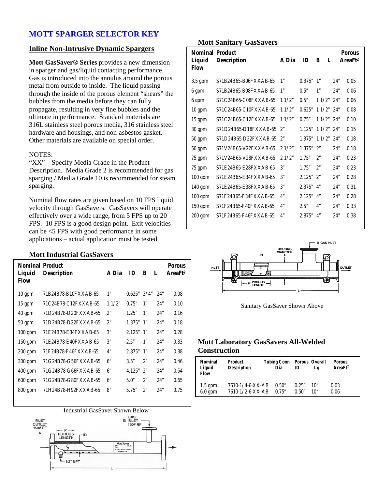#### **Inline Non-Intrusive Dynamic Spargers**

**Mott GasSaver® Series** provides a new dimension in sparger and gas/liquid contacting performance. Gas is introduced into the annulus around the porous metal from outside to inside. The liquid passing through the inside of the porous element "shears" the bubbles from the media before they can fully propagate, resulting in very fine bubbles and the ultimate in performance. Standard materials are 316L stainless steel porous media, 316 stainless steel hardware and housings, and non-asbestos gasket. Other materials are available on special order.

#### NOTES:

"XX" – Specify Media Grade in the Product Description. Media Grade 2 is recommended for gas sparging / Media Grade 10 is recommended for steam sparging.

Nominal flow rates are given based on 10 FPS liquid velocity through GasSavers. GasSavers will operate effectively over a wide range, from 5 FPS up to 20 FPS. 10 FPS is a good design point. Exit velocities can be <5 FPS with good performance in some applications – actual application must be tested.

#### **Mott Industrial GasSavers**

| <b>Nominal Product</b><br>Liquid<br>Flow | <b>Description</b>   | A Dia | ID          | B  | L   | <b>Porous</b><br>AreaFt <sup>2</sup> |
|------------------------------------------|----------------------|-------|-------------|----|-----|--------------------------------------|
| $10 \text{ gpm}$                         | 71B24B78-B10FXXAB-65 | 1"    | 0.625"3/4"  |    | 24" | 0.08                                 |
| $15$ gpm                                 | 71C24B78-C12FXXAB-65 | 11/2" | 0.75"       | 1" | 24" | 0.10                                 |
| 40 gpm                                   | 71D24B78-D20FXXAB-65 | 2"    | 1.25"       | 1" | 24" | 0.16                                 |
| $50$ gpm                                 | 71D24B78-D22FXXAB-65 | 2"    | $1.375"$ 1" |    | 24" | 0.18                                 |
| $100$ gpm                                | 71E24B78-E34FXXAB-65 | 3"    | $2.125"$ 1" |    | 24" | 0.28                                 |
| 150 gpm                                  | 71E24B78-E40FXXAB-65 | 3"    | 2.5"        | 1" | 24" | 0.33                                 |
| $200$ gpm                                | 71F24B78-F46FXXAB-65 | 4"    | $2.875"$ 1" |    | 24" | 0.38                                 |
| $300$ gpm                                | 71G24B78-G56FXXAB-65 | 6"    | 3.5"        | 2" | 24" | 0.46                                 |
| $400$ gpm                                | 71G24B78-G66FXXAB-65 | 6"    | 4.125"      | 2" | 24" | 0.54                                 |
| $600$ gpm                                | 71G24B78-G80FXXAB-65 | 6"    | 5.0"        | 2" | 24" | 0.65                                 |
| 800 gpm                                  | 71H24B78-H92FXXAB-65 | 8"    | 5.75"       | 2" | 24" | 0.75                                 |



#### **Mott Sanitary GasSavers**

| <b>Nominal Product</b><br>Liquid<br><b>Flow</b> | <b>Description</b>    | A Dia | ID          | L<br>B |     | <b>Porous</b><br>AreaFt <sup>2</sup> |
|-------------------------------------------------|-----------------------|-------|-------------|--------|-----|--------------------------------------|
| $3.5$ gpm                                       | S71B24B65-B06FXXAB-65 | 1"    | 0.375"      | 1"     | 24" | 0.05                                 |
| 6 gpm                                           | S71B24B65-B08FXXAB-65 | 1"    | 0.5"        | 1"     | 24" | 0.06                                 |
| 6 gpm                                           | S71C24B65-C08FXXAB-65 | 11/2" | 0.5"        | 11/2"  | 24" | 0.06                                 |
| $10 \text{ gpm}$                                | S71C24B65-C10FXXAB-65 | 11/2" | 0.625"      | 11/2"  | 24" | 0.08                                 |
| 15 gpm                                          | S71C24B65-C12FXXAB-65 | 11/2" | 0.75"       | 11/2"  | 24" | 0.10                                 |
| 30 gpm                                          | S71D24B65-D18FXXAB-65 | 2"    | 1.125"      | 11/2"  | 24" | 0.15                                 |
| $50$ gpm                                        | S71D24B65-D22FXXAB-65 | 2"    | 1.375"      | 11/2"  | 24" | 0.18                                 |
| $50$ gpm                                        | S71V24B65-V22FXXAB-65 | 21/2" | $1.375"$ 2" |        | 24" | 0.18                                 |
| 75 gpm                                          | S71V24B65-V28FXXAB-65 | 21/2" | 1.75"       | 2"     | 24" | 0.23                                 |
| 75 gpm                                          | S71E24B65-E28FXXAB-65 | 3"    | 1.75"       | 2"     | 24" | 0.23                                 |
| $100$ gpm                                       | S71E24B65-E34FXXAB-65 | 3"    | $2.125"$ 2" |        | 24" | 0.28                                 |
| 140 gpm                                         | S71E24B65-E38FXXAB-65 | 3"    | $2.375"$ 4" |        | 24" | 0.31                                 |
| $100$ gpm                                       | S71F24B65-F34FXXAB-65 | 4"    | $2.125"$ 4" |        | 24" | 0.28                                 |
| $150$ gpm                                       | S71F24B65-F40FXXAB-65 | 4"    | $2.5"$      | 4"     | 24" | 0.33                                 |
| 200 gpm                                         | S71F24B65-F46FXXAB-65 | 4"    | 2.875"      | 4"     | 24" | 0.38                                 |



Sanitary GasSaver Shown Above

#### **Mott Laboratory GasSavers All-Welded Construction**

| <b>Nominal</b><br>Liquid<br>Flow | Product<br><b>Description</b> | <b>Tubing Conn</b><br>Dia | ID    | Porous Overall<br>Lg | <b>Porous</b><br>AreaFt <sup>2</sup> |
|----------------------------------|-------------------------------|---------------------------|-------|----------------------|--------------------------------------|
| $1.5$ gpm                        | 7610-1/4-6-XX-AB              | 0.50"                     | 0.25" | 10"                  | 0.03                                 |
| $6.0 \text{ gpm}$                | 7610-1/2-6-XX-AB              | 0.75"                     | 0.50" | 10"                  | 0.06                                 |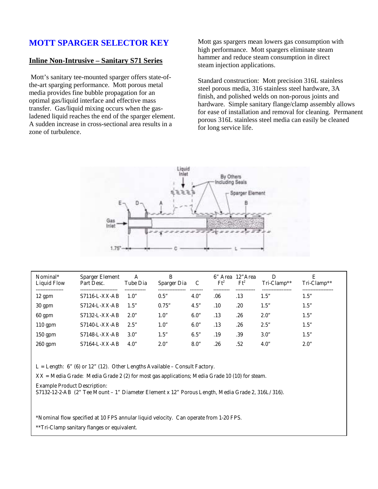#### **Inline Non-Intrusive – Sanitary S71 Series**

 Mott's sanitary tee-mounted sparger offers state-ofthe-art sparging performance. Mott porous metal media provides fine bubble propagation for an optimal gas/liquid interface and effective mass transfer. Gas/liquid mixing occurs when the gasladened liquid reaches the end of the sparger element. A sudden increase in cross-sectional area results in a zone of turbulence.

Mott gas spargers mean lowers gas consumption with high performance. Mott spargers eliminate steam hammer and reduce steam consumption in direct steam injection applications.

Standard construction: Mott precision 316L stainless steel porous media, 316 stainless steel hardware, 3A finish, and polished welds on non-porous joints and hardware. Simple sanitary flange/clamp assembly allows for ease of installation and removal for cleaning. Permanent porous 316L stainless steel media can easily be cleaned for long service life.



| Nominal*<br>Liquid Flow<br>---------------- | <b>Sparger Element</b><br>Part Desc.<br>----------------- | А<br>Tube Dia | В<br>Sparger Dia<br>--------------- | -------- | $Ft^2$ | 6" Area 12" Area<br>$Ft^2$<br>. | D<br>Tri-Clamp**<br>------------------ | Е<br>Tri-Clamp**<br>------------------- |
|---------------------------------------------|-----------------------------------------------------------|---------------|-------------------------------------|----------|--------|---------------------------------|----------------------------------------|-----------------------------------------|
| 12 gpm                                      | $S7116-L-XX-AB$                                           | 1.0"          | 0.5"                                | 4.0"     | .06    | .13                             | 1.5"                                   | 1.5"                                    |
| 30 gpm                                      | $S7124-L-XX-AB$                                           | 1.5"          | 0.75"                               | 4.5"     | .10    | .20                             | 1.5"                                   | 1.5"                                    |
| $60$ gpm                                    | $S7132-L-XX-AB$                                           | 2.0"          | 1.0"                                | 6.0"     | .13    | .26                             | 2.0"                                   | 1.5"                                    |
| $110$ gpm                                   | $S7140-L-XX-AB$                                           | 2.5"          | 1.0"                                | 6.0"     | .13    | .26                             | 2.5"                                   | 1.5"                                    |
| 150 gpm                                     | $S7148-L-XX-AB$                                           | 3.0"          | 1.5"                                | 6.5"     | .19    | .39                             | 3.0"                                   | 1.5"                                    |
| $260$ gpm                                   | $S7164-L-XX-AB$                                           | 4.0"          | 2.0"                                | 8.0"     | .26    | .52                             | 4.0"                                   | 2.0"                                    |

 $L =$  Length: 6" (6) or 12" (12). Other Lengths Available – Consult Factory.

XX = Media Grade: Media Grade 2 (2) for most gas applications; Media Grade 10 (10) for steam.

Example Product Description:

S7132-12-2-AB (2" Tee Mount – 1" Diameter Element x 12" Porous Length, Media Grade 2, 316L/316).

\*Nominal flow specified at 10 FPS annular liquid velocity. Can operate from 1-20 FPS.

\*\*Tri-Clamp sanitary flanges or equivalent.